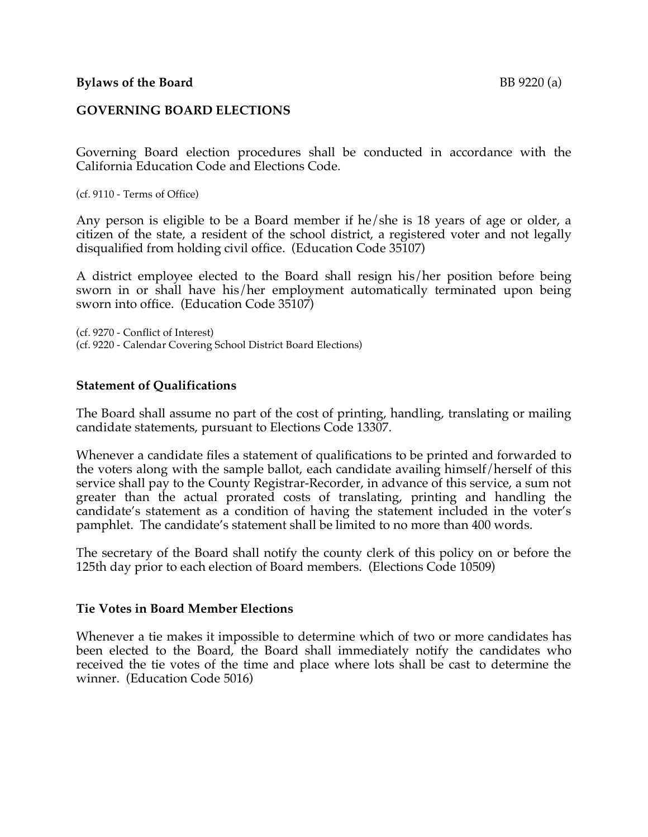## **GOVERNING BOARD ELECTIONS**

Governing Board election procedures shall be conducted in accordance with the California Education Code and Elections Code.

(cf. 9110 - Terms of Office)

Any person is eligible to be a Board member if he/she is 18 years of age or older, a citizen of the state, a resident of the school district, a registered voter and not legally disqualified from holding civil office. (Education Code 35107)

A district employee elected to the Board shall resign his/her position before being sworn in or shall have his/her employment automatically terminated upon being sworn into office. (Education Code 35107)

(cf. 9270 - Conflict of Interest) (cf. 9220 - Calendar Covering School District Board Elections)

#### **Statement of Qualifications**

The Board shall assume no part of the cost of printing, handling, translating or mailing candidate statements, pursuant to Elections Code 13307.

Whenever a candidate files a statement of qualifications to be printed and forwarded to the voters along with the sample ballot, each candidate availing himself/herself of this service shall pay to the County Registrar-Recorder, in advance of this service, a sum not greater than the actual prorated costs of translating, printing and handling the candidate's statement as a condition of having the statement included in the voter's pamphlet. The candidate's statement shall be limited to no more than 400 words.

The secretary of the Board shall notify the county clerk of this policy on or before the 125th day prior to each election of Board members. (Elections Code 10509)

#### **Tie Votes in Board Member Elections**

Whenever a tie makes it impossible to determine which of two or more candidates has been elected to the Board, the Board shall immediately notify the candidates who received the tie votes of the time and place where lots shall be cast to determine the winner. (Education Code 5016)